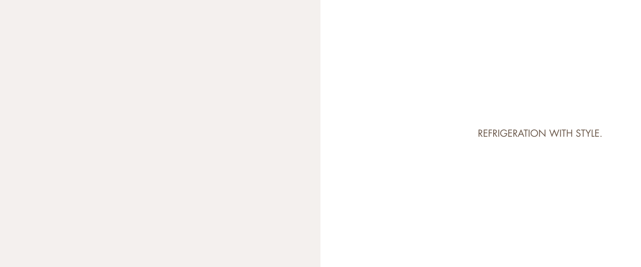# REFRIGERATION WITH STYLE.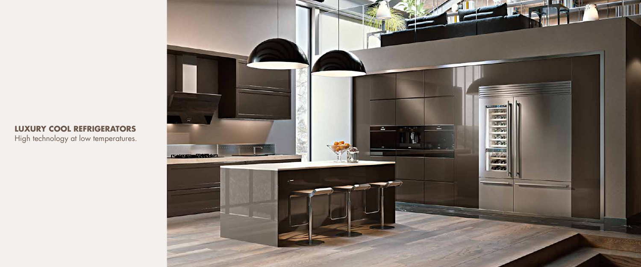# **LUXURY COOL REFRIGERATORS**

High technology at low temperatures.

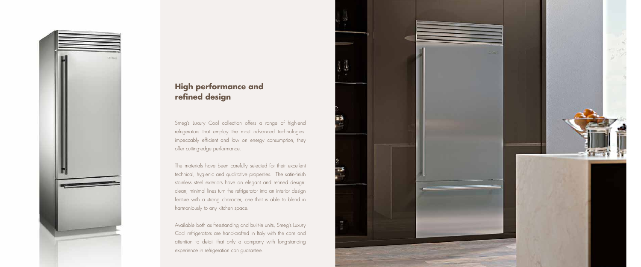

# **High performance and refined design**

Smeg's Luxury Cool collection offers a range of high-end refrigerators that employ the most advanced technologies: impeccably efficient and low on energy consumption, they offer cutting-edge performance.

The materials have been carefully selected for their excellent technical, hygienic and qualitative properties. The satin-finish stainless steel exteriors have an elegant and refined design: clean, minimal lines turn the refrigerator into an interior design feature with a strong character, one that is able to blend in harmoniously to any kitchen space.

Available both as freestanding and built-in units, Smeg's Luxury Cool refrigerators are hand-crafted in Italy with the care and attention to detail that only a company with long-standing experience in refrigeration can guarantee.



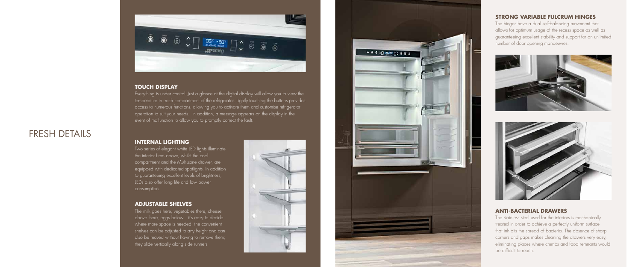# **ANTI-BACTERIAL DRAWERS**

The stainless steel used for the interiors is mechanically treated in order to achieve a perfectly uniform surface that inhibits the spread of bacteria. The absence of sharp corners and gaps makes cleaning the drawers very easy, eliminating places where crumbs and food remnants would be difficult to reach.

# **STRONG VARIABLE FULCRUM HINGES**

The hinges have a dual self-balancing movement that allows for optimum usage of the recess space as well as guaranteeing excellent stability and support for an unlimited number of door opening manoeuvres.





# FRESH DETAILS



# **TOUCH DISPLAY**

The milk goes here, vegetables there, cheese above there, eggs below... it's easy to decide where more space is needed: the convenient shelves can be adjusted to any height and can also be moved without having to remove them; they slide vertically along side runners.





Everything is under control. Just a glance at the digital display will allow you to view the temperature in each compartment of the refrigerator. Lightly touching the buttons provides access to numerous functions, allowing you to activate them and customise refrigerator operation to suit your needs. In addition, a message appears on the display in the event of malfunction to allow you to promptly correct the fault.

# **INTERNAL LIGHTING**

Two series of elegant white LED lights illuminate the interior from above, whilst the cool compartment and the Multi-zone drawer, are equipped with dedicated spotlights. In addition to guaranteeing excellent levels of brightness, LEDs also offer long life and low power consumption.

# **ADJUSTABLE SHELVES**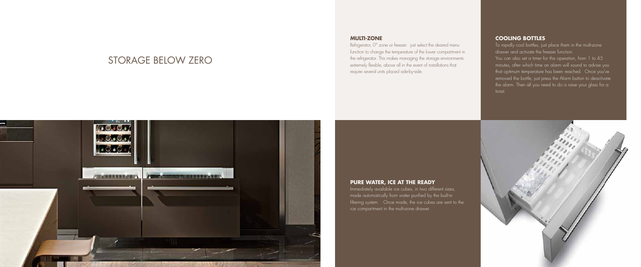# **MULTI-ZONE**

Refrigerator, 0° zone or freezer: just select the desired menu function to change the temperature of the lower compartment in the refrigerator. This makes managing the storage environments extremely flexible, above all in the event of installations that require several units placed side-by-side.

# **PURE WATER, ICE AT THE READY**

Immediately available ice cubes, in two different sizes, made automatically from water purified by the built-in filtering system. Once made, the ice cubes are sent to the ice compartment in the multi-zone drawer.

# **COOLING BOTTLES**

To rapidly cool bottles, just place them in the multi-zone drawer and activate the freezer function. You can also set a timer for this operation, from 1 to 45 minutes, after which time an alarm will sound to advise you that optimum temperature has been reached. Once you've removed the bottle, just press the Alarm button to deactivate the alarm. Then all you need to do is raise your glass for a toast.



# STORAGE BELOW ZERO

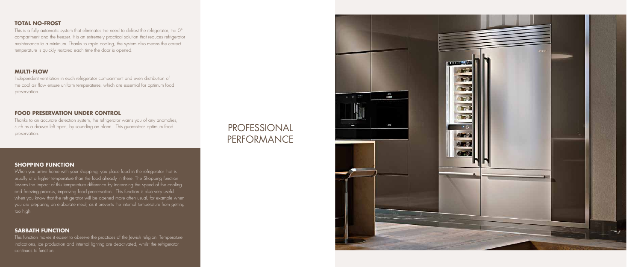# **TOTAL NO-FROST**

This is a fully automatic system that eliminates the need to defrost the refrigerator, the 0° compartment and the freezer. It is an extremely practical solution that reduces refrigerator maintenance to a minimum. Thanks to rapid cooling, the system also means the correct temperature is quickly restored each time the door is opened.

#### **MULTI-FLOW**

Independent ventilation in each refrigerator compartment and even distribution of the cool air flow ensure uniform temperatures, which are essential for optimum food preservation.

When you arrive home with your shopping, you place food in the refrigerator that is usually at a higher temperature than the food already in there. The Shopping function lessens the impact of this temperature difference by increasing the speed of the cooling and freezing process, improving food preservation. This function is also very useful when you know that the refrigerator will be opened more often usual, for example when you are preparing an elaborate meal, as it prevents the internal temperature from getting too high.

### **SHOPPING FUNCTION**

# **FOOD PRESERVATION UNDER CONTROL**

Thanks to an accurate detection system, the refrigerator warns you of any anomalies, such as a drawer left open, by sounding an alarm. This guarantees optimum food preservation.

#### **SABBATH FUNCTION**

This function makes it easier to observe the practices of the Jewish religion. Temperature indications, ice production and internal lighting are deactivated, whilst the refrigerator continues to function.

# PROFESSIONAL PERFORMANCE



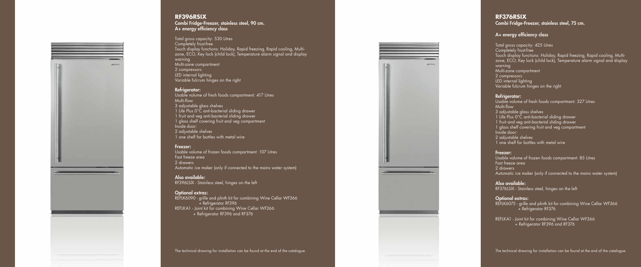![](_page_6_Picture_0.jpeg)

#### **RF396RSIX** Combi Fridge-Freezer, stainless steel, 90 cm. A+ energy efficiency class

Total gross capacity: 530 Litres Completely frost-free Touch display functions: Holiday, Rapid freezing, Rapid cooling, Multizone, ECO, Key lock (child lock), Temperature alarm signal and display warning Multi-zone compartment 2 compressors LED internal lighting Variable fulcrum hinges on the right

### Refrigerator:

Usable volume of fresh foods compartment: 417 Litres Multi-flow 3 adjustable glass shelves 1 Life Plus 0°C anti-bacterial sliding drawer 1 fruit and veg anti-bacterial sliding drawer 1 glass shelf covering fruit and veg compartment Inside door: 2 adjustable shelves 1 one shelf for bottles with metal wire

#### Freezer:

Usable volume of frozen foods compartment: 107 Litres Fast freeze area 2 drawers Automatic ice maker (only if connected to the mains water system)

Usable volume of fresh foods compartment: 327 Litres Multi-flow 3 adjustable glass shelves 1 Life Plus 0°C anti-bacterial sliding drawer 1 fruit and veg anti-bacterial sliding drawer 1 glass shelf covering fruit and veg compartment Inside door: 2 adjustable shelves 1 one shelf for bottles with metal wire

Also available: RF396LSIX - Stainless steel, hinges on the left

Usable volume of frozen foods compartment: 85 Litres Fast freeze area 2 drawers Automatic ice maker (only if connected to the mains water system)

Optional extras: REFLK6090 - grille and plinth kit for combining Wine Cellar WF366 + Refrigerator RF396 REFLKA1 - Joint kit for combining Wine Cellar WF366 + Refrigerator RF396 and RF376

REFLK6075 - grille and plinth kit for combining Wine Cellar WF366 + Refrigerator RF376

The technical drawing for installation can be found at the end of the catalogue.

![](_page_6_Picture_10.jpeg)

# **RF376RSIX** Combi Fridge-Freezer, stainless steel, 75 cm.

## A+ energy efficiency class

Total gross capacity: 425 Litres Completely frost-free Touch display functions: Holiday, Rapid freezing, Rapid cooling, Multizone, ECO, Key lock (child lock), Temperature alarm signal and display warning Multi-zone compartment 2 compressors LED internal lighting Variable fulcrum hinges on the right

# Refrigerator:

#### Freezer:

# Also available:

RF376LSIX - Stainless steel, hinges on the left

### Optional extras:

REFLKA1 - Joint kit for combining Wine Cellar WF366 + Refrigerator RF396 and RF376

The technical drawing for installation can be found at the end of the catalogue.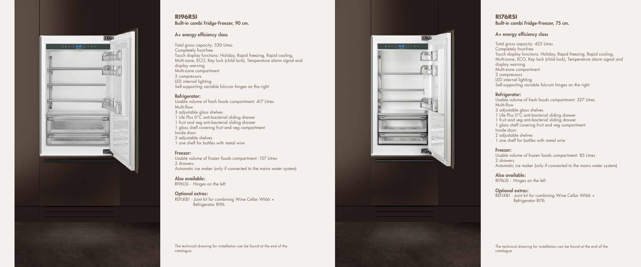# **RI76RSI** Built-in combi Fridge-Freezer, 75 cm.

## A+ energy efficiency class

Total gross capacity: 425 Litres Completely frost-free Touch display functions: Holiday, Rapid freezing, Rapid cooling, Multi-zone, ECO, Key lock (child lock), Temperature alarm signal and display warning Multi-zone compartment 2 compressors LED internal lighting Self-supporting variable fulcrum hinges on the right

### Refrigerator:

Usable volume of fresh foods compartment: 327 Litres Multi-flow

- 3 adjustable glass shelves
- 1 Life Plus 0°C anti-bacterial sliding drawer
- 1 fruit and veg anti-bacterial sliding drawer

1 glass shelf covering fruit and veg compartment Inside door:

- 2 adjustable shelves
- 1 one shelf for bottles with metal wire

#### Freezer:

Usable volume of frozen foods compartment: 85 Litres 2 drawers Automatic ice maker (only if connected to the mains water system)

Also available: RI76LSI - Hinges on the left

#### Optional extras:

REFLKB1 - Joint kit for combining Wine Cellar WI66 + Refrigerator RI76

The technical drawing for installation can be found at the end of the catalogue.

![](_page_7_Picture_0.jpeg)

#### **RI96RSI** Built-in combi Fridge-Freezer, 90 cm.

### A+ energy efficiency class

Total gross capacity: 530 Litres Completely frost-free Touch display functions: Holiday, Rapid freezing, Rapid cooling, Multi-zone, ECO, Key lock (child lock), Temperature alarm signal and display warning Multi-zone compartment 2 compressors LED internal lighting Self-supporting variable fulcrum hinges on the right

#### Refrigerator:

Usable volume of fresh foods compartment: 417 Litres Multi-flow 3 adjustable glass shelves

1 Life Plus 0°C anti-bacterial sliding drawer

1 fruit and veg anti-bacterial sliding drawer

1 glass shelf covering fruit and veg compartment

Inside door:

2 adjustable shelves

1 one shelf for bottles with metal wire

#### Freezer:

Usable volume of frozen foods compartment: 107 Litres 2 drawers Automatic ice maker (only if connected to the mains water system)

Also available: RI96LSI - Hinges on the left

#### Optional extras:

REFLKB1 - Joint kit for combining Wine Cellar WI66 + Refrigerator RI96.

The technical drawing for installation can be found at the end of the catalogue.

![](_page_7_Picture_18.jpeg)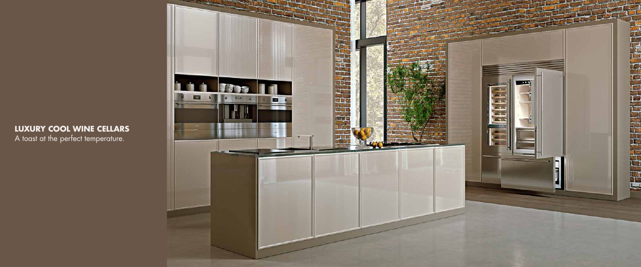# **LUXURY COOL WINE CELLARS**

A toast at the perfect temperature.

![](_page_8_Picture_2.jpeg)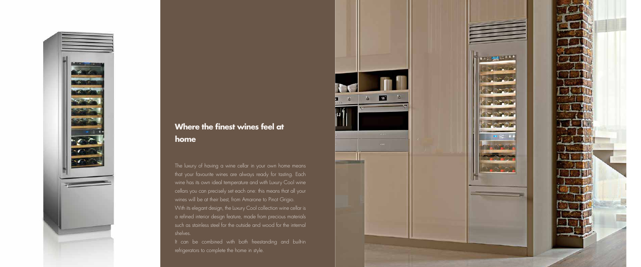![](_page_9_Picture_0.jpeg)

# **Where the finest wines feel at home**

The luxury of having a wine cellar in your own home means that your favourite wines are always ready for tasting. Each wine has its own ideal temperature and with Luxury Cool wine cellars you can precisely set each one: this means that all your wines will be at their best, from Amarone to Pinot Grigio. With its elegant design, the Luxury Cool collection wine cellar is a refined interior design feature, made from precious materials such as stainless steel for the outside and wood for the internal shelves.

It can be combined with both freestanding and built-in refrigerators to complete the home in style.

![](_page_9_Picture_4.jpeg)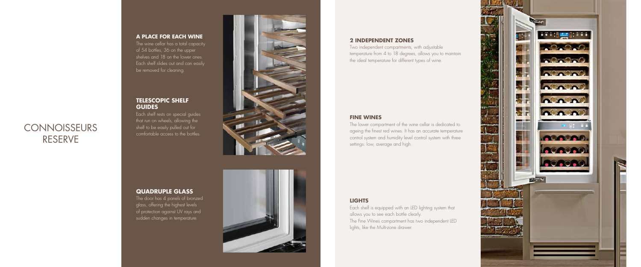#### **A PLACE FOR EACH WINE**

The wine cellar has a total capacity of 54 bottles, 36 on the upper shelves and 18 on the lower ones. Each shelf slides out and can easily be removed for cleaning.

# **TELESCOPIC SHELF GUIDES**

Each shelf rests on special guides that run on wheels, allowing the shelf to be easily pulled out for comfortable access to the bottles.

![](_page_10_Picture_5.jpeg)

# **QUADRUPLE GLASS**

The door has 4 panels of bronzed glass, offering the highest levels of protection against UV rays and sudden changes in temperature.

![](_page_10_Picture_8.jpeg)

# **LIGHTS**

# **CONNOISSEURS** RESERVE

Each shelf is equipped with an LED lighting system that allows you to see each bottle clearly. The Fine Wines compartment has two independent LED lights, like the Multi-zone drawer.

![](_page_10_Picture_17.jpeg)

## **2 INDEPENDENT ZONES**

Two independent compartments, with adjustable temperature from 4 to 18 degrees, allows you to maintain the ideal temperature for different types of wine.

# **FINE WINES**

The lower compartment of the wine cellar is dedicated to ageing the finest red wines. It has an accurate temperature control system and humidity level control system with three settings: low, average and high.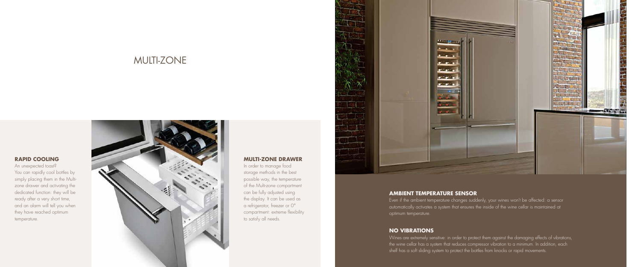# **RAPID COOLING**

An unexpected toast? You can rapidly cool bottles by simply placing them in the Multizone drawer and activating the dedicated function: they will be ready after a very short time, and an alarm will tell you when they have reached optimum temperature.

![](_page_11_Picture_3.jpeg)

## **MULTI-ZONE DRAWER**

In order to manage food storage methods in the best possible way, the temperature of the Multi-zone compartment can be fully adjusted using the display. It can be used as a refrigerator, freezer or 0° compartment: extreme flexibility to satisfy all needs.

![](_page_11_Picture_6.jpeg)

# **AMBIENT TEMPERATURE SENSOR**

Even if the ambient temperature changes suddenly, your wines won't be affected: a sensor automatically activates a system that ensures the inside of the wine cellar is maintained at

optimum temperature.

# **NO VIBRATIONS**

Wines are extremely sensitive: in order to protect them against the damaging effects of vibrations, the wine cellar has a system that reduces compressor vibration to a minimum. In addition, each shelf has a soft sliding system to protect the bottles from knocks or rapid movements.

![](_page_11_Picture_11.jpeg)

# MULTI-ZONE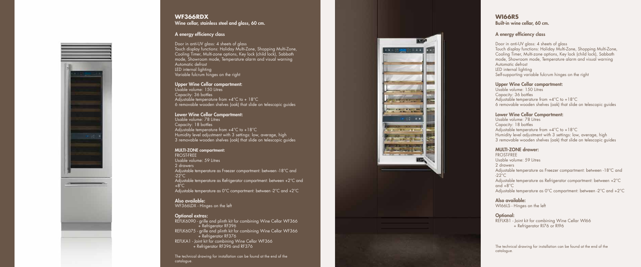![](_page_12_Picture_0.jpeg)

#### **WF366RDX** Wine cellar, stainless steel and glass, 60 cm.

Door in anti-UV glass: 4 sheets of glass Touch display functions: Holiday Multi-Zone, Shopping Multi-Zone, Cooling Timer, Multi-zone options, Key lock (child lock), Sabbath mode, Showroom mode, Temperature alarm and visual warning Automatic defrost LED internal lighting Variable fulcrum hinges on the right

#### A energy efficiency class

Usable volume: 150 Litres Capacity: 36 bottles Adjustable temperature from  $+4^{\circ}$ C to  $+18^{\circ}$ C 6 removable wooden shelves (oak) that slide on telescopic guides

#### Upper Wine Cellar compartment:

#### Lower Wine Cellar Compartment:

Usable volume: 78 Litres Capacity: 18 bottles Adjustable temperature from  $+4^{\circ}$ C to  $+18^{\circ}$ C Humidity level adjustment with 3 settings: low, average, high 3 removable wooden shelves (oak) that slide on telescopic guides

#### MULTI-ZONE compartment: FROST-FREE

Usable volume: 59 Litres 2 drawers Adjustable temperature as Freezer compartment: between -18°C and  $-22^{\circ}$ C Adjustable temperature as Refrigerator compartment: between +2°C and  $+8^{\circ}$ C Adjustable temperature as 0°C compartment: between -2°C and +2°C

Usable volume: 150 Litres Capacity: 36 bottles Adjustable temperature from +4°C to +18°C 6 removable wooden shelves (oak) that slide on telescopic guides

Also available: WF366LDX - Hinges on the left

#### Optional extras:

REFLK6090 - grille and plinth kit for combining Wine Cellar WF366 + Refrigerator RF396 REFLK6075 - grille and plinth kit for combining Wine Cellar WF366 + Refrigerator RF376 REFLKA1 - Joint kit for combining Wine Cellar WF366 + Refrigerator RF396 and RF376

The technical drawing for installation can be found at the end of the catalogue.

![](_page_12_Picture_14.jpeg)

### **WI66RS** Built-in wine cellar, 60 cm.

### A energy efficiency class

Door in anti-UV glass: 4 sheets of glass Touch display functions: Holiday Multi-Zone, Shopping Multi-Zone, Cooling Timer, Multi-zone options, Key lock (child lock), Sabbath mode, Showroom mode, Temperature alarm and visual warning Automatic defrost LED internal lighting Self-supporting variable fulcrum hinges on the right

#### Upper Wine Cellar compartment:

#### Lower Wine Cellar Compartment:

Usable volume: 78 Litres Capacity: 18 bottles Adjustable temperature from  $+4^{\circ}$ C to  $+18^{\circ}$ C Humidity level adjustment with 3 settings: low, average, high 3 removable wooden shelves (oak) that slide on telescopic guides

### MULTI-ZONE drawer:

FROST-FREE Usable volume: 59 Litres 2 drawers Adjustable temperature as Freezer compartment: between -18°C and  $-22^{\circ}$ C Adjustable temperature as Refrigerator compartment: between +2°C and  $+8^{\circ}$ C Adjustable temperature as 0°C compartment: between -2°C and +2°C

# Also available:

WI66LS - Hinges on the left

#### Optional:

REFLKB1 - Joint kit for combining Wine Cellar WI66 + Refrigerator RI76 or RI96

The technical drawing for installation can be found at the end of the catalogue.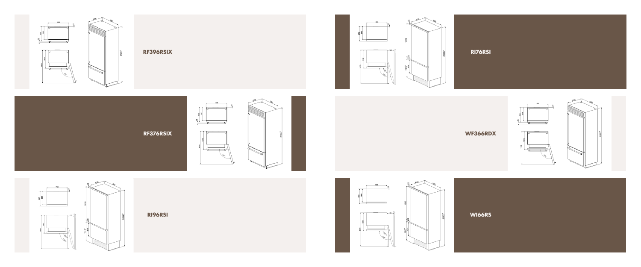![](_page_13_Figure_0.jpeg)

## **RF396RSIX**

**RF376RSIX**

 $90$ 

![](_page_13_Figure_8.jpeg)

**RI96RSI**

![](_page_13_Picture_9.jpeg)

![](_page_13_Figure_10.jpeg)

![](_page_13_Figure_11.jpeg)

**WF366RDX**

![](_page_13_Figure_14.jpeg)

![](_page_13_Picture_15.jpeg)

![](_page_13_Picture_16.jpeg)

**WI66RS**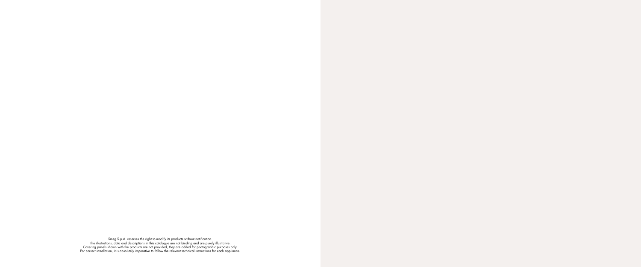Smeg S.p.A. reserves the right to modify its products without notification. The illustrations, data and descriptions in this catalogue are not binding and are purely illustrative. Covering panels shown with the products are not provided, they are added for photographic purposes only. For correct installation, it is absolutely imperative to follow the relevant technical instructions for each appliance.